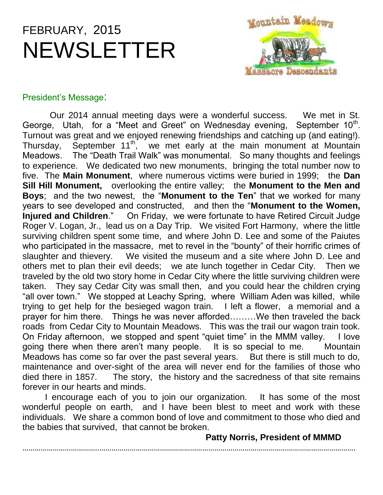# FEBRUARY, 2015 NEWSLETTER



# President's Message:

 Our 2014 annual meeting days were a wonderful success. We met in St. George, Utah, for a "Meet and Greet" on Wednesday evening, September  $10<sup>th</sup>$ . Turnout was great and we enjoyed renewing friendships and catching up (and eating!). Thursday, September 11<sup>th</sup>, we met early at the main monument at Mountain Meadows. The "Death Trail Walk" was monumental. So many thoughts and feelings to experience. We dedicated two new monuments, bringing the total number now to five. The **Main Monument**, where numerous victims were buried in 1999; the **Dan Sill Hill Monument,** overlooking the entire valley; the **Monument to the Men and Boys**; and the two newest, the "**Monument to the Ten**" that we worked for many years to see developed and constructed, and then the "**Monument to the Women, Injured and Children**." On Friday, we were fortunate to have Retired Circuit Judge Roger V. Logan, Jr., lead us on a Day Trip. We visited Fort Harmony, where the little surviving children spent some time, and where John D. Lee and some of the Paiutes who participated in the massacre, met to revel in the "bounty" of their horrific crimes of slaughter and thievery. We visited the museum and a site where John D. Lee and others met to plan their evil deeds; we ate lunch together in Cedar City. Then we traveled by the old two story home in Cedar City where the little surviving children were taken. They say Cedar City was small then, and you could hear the children crying "all over town." We stopped at Leachy Spring, where William Aden was killed, while trying to get help for the besieged wagon train. I left a flower, a memorial and a prayer for him there. Things he was never afforded………We then traveled the back roads from Cedar City to Mountain Meadows. This was the trail our wagon train took. On Friday afternoon, we stopped and spent "quiet time" in the MMM valley. I love going there when there aren't many people. It is so special to me. Mountain Meadows has come so far over the past several years. But there is still much to do, maintenance and over-sight of the area will never end for the families of those who died there in 1857. The story, the history and the sacredness of that site remains forever in our hearts and minds.

I encourage each of you to join our organization. It has some of the most wonderful people on earth, and I have been blest to meet and work with these individuals. We share a common bond of love and commitment to those who died and the babies that survived, that cannot be broken.

 **Patty Norris, President of MMMD**

………………………………..……………………………………………………………………………………………………………….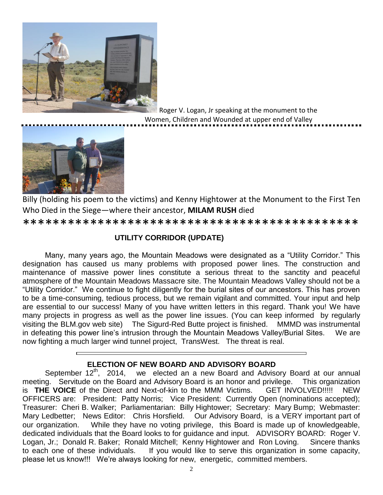

Roger V. Logan, Jr speaking at the monument to the Women, Children and Wounded at upper end of Valley



Billy (holding his poem to the victims) and Kenny Hightower at the Monument to the First Ten Who Died in the Siege—where their ancestor, **MILAM RUSH** died

\*\*\*\*\*\*\*\*\*\*\*\*\*\*\*\*\*\*\*\*\*\*\*\*\*\*\*\*\*\*\*\*\*\*\*\*\*\*\*\*\*\*\*\*\*

# **UTILITY CORRIDOR (UPDATE)**

Many, many years ago, the Mountain Meadows were designated as a "Utility Corridor." This designation has caused us many problems with proposed power lines. The construction and maintenance of massive power lines constitute a serious threat to the sanctity and peaceful atmosphere of the Mountain Meadows Massacre site. The Mountain Meadows Valley should not be a "Utility Corridor." We continue to fight diligently for the burial sites of our ancestors. This has proven to be a time-consuming, tedious process, but we remain vigilant and committed. Your input and help are essential to our success! Many of you have written letters in this regard. Thank you! We have many projects in progress as well as the power line issues. (You can keep informed by regularly visiting the BLM.gov web site) The Sigurd-Red Butte project is finished. MMMD was instrumental in defeating this power line's intrusion through the Mountain Meadows Valley/Burial Sites. We are now fighting a much larger wind tunnel project, TransWest. The threat is real.

# **ELECTION OF NEW BOARD AND ADVISORY BOARD**

September  $12^{th}$ , 2014, we elected an a new Board and Advisory Board at our annual meeting. Servitude on the Board and Advisory Board is an honor and privilege. This organization is **THE VOICE** of the Direct and Next-of-kin to the MMM Victims. GET INVOLVED!!!!! NEW OFFICERS are: President: Patty Norris; Vice President: Currently Open (nominations accepted); Treasurer: Cheri B. Walker; Parliamentarian: Billy Hightower; Secretary: Mary Bump; Webmaster: Mary Ledbetter; News Editor: Chris Horsfield. Our Advisory Board, is a VERY important part of our organization. While they have no voting privilege, this Board is made up of knowledgeable, dedicated individuals that the Board looks to for guidance and input. ADVISORY BOARD: Roger V. Logan, Jr.; Donald R. Baker; Ronald Mitchell; Kenny Hightower and Ron Loving. Sincere thanks to each one of these individuals. If you would like to serve this organization in some capacity, please let us know!!! We're always looking for new, energetic, committed members.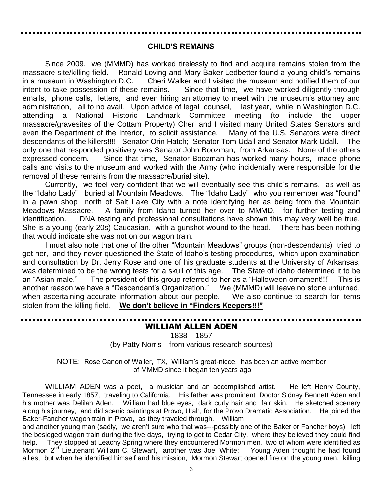#### **CHILD'S REMAINS**

Since 2009, we (MMMD) has worked tirelessly to find and acquire remains stolen from the massacre site/killing field. Ronald Loving and Mary Baker Ledbetter found a young child's remains in a museum in Washington D.C. Cheri Walker and I visited the museum and notified them of our intent to take possession of these remains. Since that time, we have worked diligently through emails, phone calls, letters, and even hiring an attorney to meet with the museum's attorney and administration, all to no avail. Upon advice of legal counsel, last year, while in Washington D.C. attending a National Historic Landmark Committee meeting (to include the upper massacre/gravesites of the Cottam Property) Cheri and I visited many United States Senators and even the Department of the Interior, to solicit assistance. Many of the U.S. Senators were direct descendants of the killers!!!! Senator Orin Hatch; Senator Tom Udall and Senator Mark Udall. The only one that responded positively was Senator John Boozman, from Arkansas. None of the others expressed concern. Since that time, Senator Boozman has worked many hours, made phone calls and visits to the museum and worked with the Army (who incidentally were responsible for the removal of these remains from the massacre/burial site).

Currently, we feel very confident that we will eventually see this child's remains, as well as the "Idaho Lady" buried at Mountain Meadows. The "Idaho Lady" who you remember was "found" in a pawn shop north of Salt Lake City with a note identifying her as being from the Mountain Meadows Massacre. A family from Idaho turned her over to MMMD, for further testing and identification. DNA testing and professional consultations have shown this may very well be true. She is a young (early 20s) Caucasian, with a gunshot wound to the head. There has been nothing that would indicate she was not on our wagon train.

I must also note that one of the other "Mountain Meadows" groups (non-descendants) tried to get her, and they never questioned the State of Idaho's testing procedures, which upon examination and consultation by Dr. Jerry Rose and one of his graduate students at the University of Arkansas, was determined to be the wrong tests for a skull of this age. The State of Idaho determined it to be an "Asian male." The president of this group referred to her as a "Halloween ornament!!!" This is another reason we have a "Descendant's Organization." We (MMMD) will leave no stone unturned, when ascertaining accurate information about our people. We also continue to search for items stolen from the killing field. **We don't believe in "Finders Keepers!!!"**

# WILLIAM ALLEN ADEN

1838 – 1857 (by Patty Norris—from various research sources)

NOTE: Rose Canon of Waller, TX, William's great-niece, has been an active member of MMMD since it began ten years ago

WILLIAM ADEN was a poet, a musician and an accomplished artist. He left Henry County, Tennessee in early 1857, traveling to California. His father was prominent Doctor Sidney Bennett Aden and his mother was Delilah Aden. William had blue eyes, dark curly hair and fair skin. He sketched scenery along his journey, and did scenic paintings at Provo, Utah, for the Provo Dramatic Association. He joined the Baker-Fancher wagon train in Provo, as they traveled through. William

and another young man (sadly, we aren't sure who that was---possibly one of the Baker or Fancher boys) left the besieged wagon train during the five days, trying to get to Cedar City, where they believed they could find help. They stopped at Leachy Spring where they encountered Mormon men, two of whom were identified as Mormon 2<sup>nd</sup> Lieutenant William C. Stewart, another was Joel White; Young Aden thought he had found allies, but when he identified himself and his mission, Mormon Stewart opened fire on the young men, killing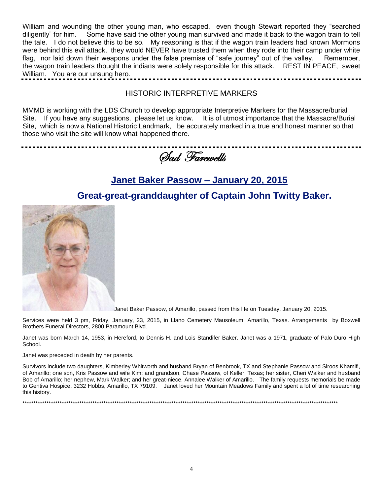William and wounding the other young man, who escaped, even though Stewart reported they "searched diligently" for him. Some have said the other young man survived and made it back to the wagon train to tell the tale. I do not believe this to be so. My reasoning is that if the wagon train leaders had known Mormons were behind this evil attack, they would NEVER have trusted them when they rode into their camp under white flag, nor laid down their weapons under the false premise of "safe journey" out of the valley. Remember, the wagon train leaders thought the indians were solely responsible for this attack. REST IN PEACE, sweet William. You are our unsung hero.

#### HISTORIC INTERPRETIVE MARKERS

MMMD is working with the LDS Church to develop appropriate Interpretive Markers for the Massacre/burial Site. If you have any suggestions, please let us know. It is of utmost importance that the Massacre/Burial Site, which is now a National Historic Landmark, be accurately marked in a true and honest manner so that those who visit the site will know what happened there.

Sad Farewells

# **[Janet Baker Passow –](http://www.boxwellbrothers.com/obit/?p=11243) January 20, 2015**

# **Great-great-granddaughter of Captain John Twitty Baker.**



[J](http://www.boxwellbrothers.com/obit/wp-content/uploads/2015/01/Passow-Obit-Pic.jpg)anet Baker Passow, of Amarillo, passed from this life on Tuesday, January 20, 2015.

Services were held 3 pm, Friday, January, 23, 2015, in Llano Cemetery Mausoleum, Amarillo, Texas. Arrangements by Boxwell Brothers Funeral Directors, 2800 Paramount Blvd.

Janet was born March 14, 1953, in Hereford, to Dennis H. and Lois Standifer Baker. Janet was a 1971, graduate of Palo Duro High School.

Janet was preceded in death by her parents.

Survivors include two daughters, Kimberley Whitworth and husband Bryan of Benbrook, TX and Stephanie Passow and Siroos Khamifi, of Amarillo; one son, Kris Passow and wife Kim; and grandson, Chase Passow, of Keller, Texas; her sister, Cheri Walker and husband Bob of Amarillo; her nephew, Mark Walker; and her great-niece, Annalee Walker of Amarillo. The family requests memorials be made to Gentiva Hospice, 3232 Hobbs, Amarillo, TX 79109. Janet loved her Mountain Meadows Family and spent a lot of time researching this history.

\*\*\*\*\*\*\*\*\*\*\*\*\*\*\*\*\*\*\*\*\*\*\*\*\*\*\*\*\*\*\*\*\*\*\*\*\*\*\*\*\*\*\*\*\*\*\*\*\*\*\*\*\*\*\*\*\*\*\*\*\*\*\*\*\*\*\*\*\*\*\*\*\*\*\*\*\*\*\*\*\*\*\*\*\*\*\*\*\*\*\*\*\*\*\*\*\*\*\*\*\*\*\*\*\*\*\*\*\*\*\*\*\*\*\*\*\*\*\*\*\*\*\*\*\*\*\*\*\*\*\*\*\*\*\*\*\*\*\*\*\*\*\*\*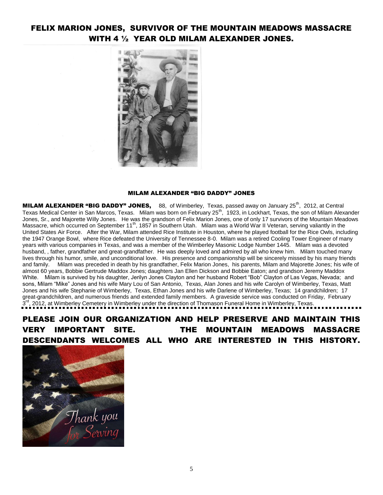# FELIX MARION JONES, SURVIVOR OF THE MOUNTAIN MEADOWS MASSACRE WITH 4 ½ YEAR OLD MILAM ALEXANDER JONES.



#### MILAM ALEXANDER "BIG DADDY" JONES

MILAM ALEXANDER "BIG DADDY" JONES, 88, of Wimberley, Texas, passed away on January 25<sup>th</sup>, 2012, at Central Texas Medical Center in San Marcos, Texas. Milam was born on February 25<sup>th</sup>, 1923, in Lockhart, Texas, the son of Milam Alexander Jones, Sr., and Majorette Willy Jones. He was the grandson of Felix Marion Jones, one of only 17 survivors of the Mountain Meadows Massacre, which occurred on September 11<sup>th</sup>, 1857 in Southern Utah. Milam was a World War II Veteran, serving valiantly in the United States Air Force. After the War, Milam attended Rice Institute in Houston, where he played football for the Rice Owls, including the 1947 Orange Bowl, where Rice defeated the University of Tennessee 8-0. Milam was a retired Cooling Tower Engineer of many years with various companies in Texas, and was a member of the Wimberley Masonic Lodge Number 1445. Milam was a devoted husband, , father, grandfather and great-grandfather. He was deeply loved and admired by all who knew him. Milam touched many lives through his humor, smile, and unconditional love. His presence and companionship will be sincerely missed by his many friends and family. Milam was preceded in death by his grandfather, Felix Marion Jones, his parents, Milam and Majorette Jones; his wife of almost 60 years, Bobbie Gertrude Maddox Jones; daughters Jan Ellen Dickson and Bobbie Eaton; and grandson Jeremy Maddox White. Milam is survived by his daughter, Jerilyn Jones Clayton and her husband Robert "Bob" Clayton of Las Vegas, Nevada; and sons, Milam "Mike" Jones and his wife Mary Lou of San Antonio, Texas, Alan Jones and his wife Carolyn of Wimberley, Texas, Matt Jones and his wife Stephanie of Wimberley, Texas, Ethan Jones and his wife Darlene of Wimberley, Texas; 14 grandchildren; 17 great-grandchildren, and numerous friends and extended family members. A graveside service was conducted on Friday, February 3 rd, 2012, at Wimberley Cemetery in Wimberley under the direction of Thomason Funeral Home in Wimberley, Texas.<br>", 2012, at Wimberley Cemetery in Wimberley under the direction of Thomason Funeral Home in Wimberley, Texas.

PLEASE JOIN OUR ORGANIZATION AND HELP PRESERVE AND MAINTAIN THIS VERY IMPORTANT SITE. THE MOUNTAIN MEADOWS MASSACRE DESCENDANTS WELCOMES ALL WHO ARE INTERESTED IN THIS HISTORY.